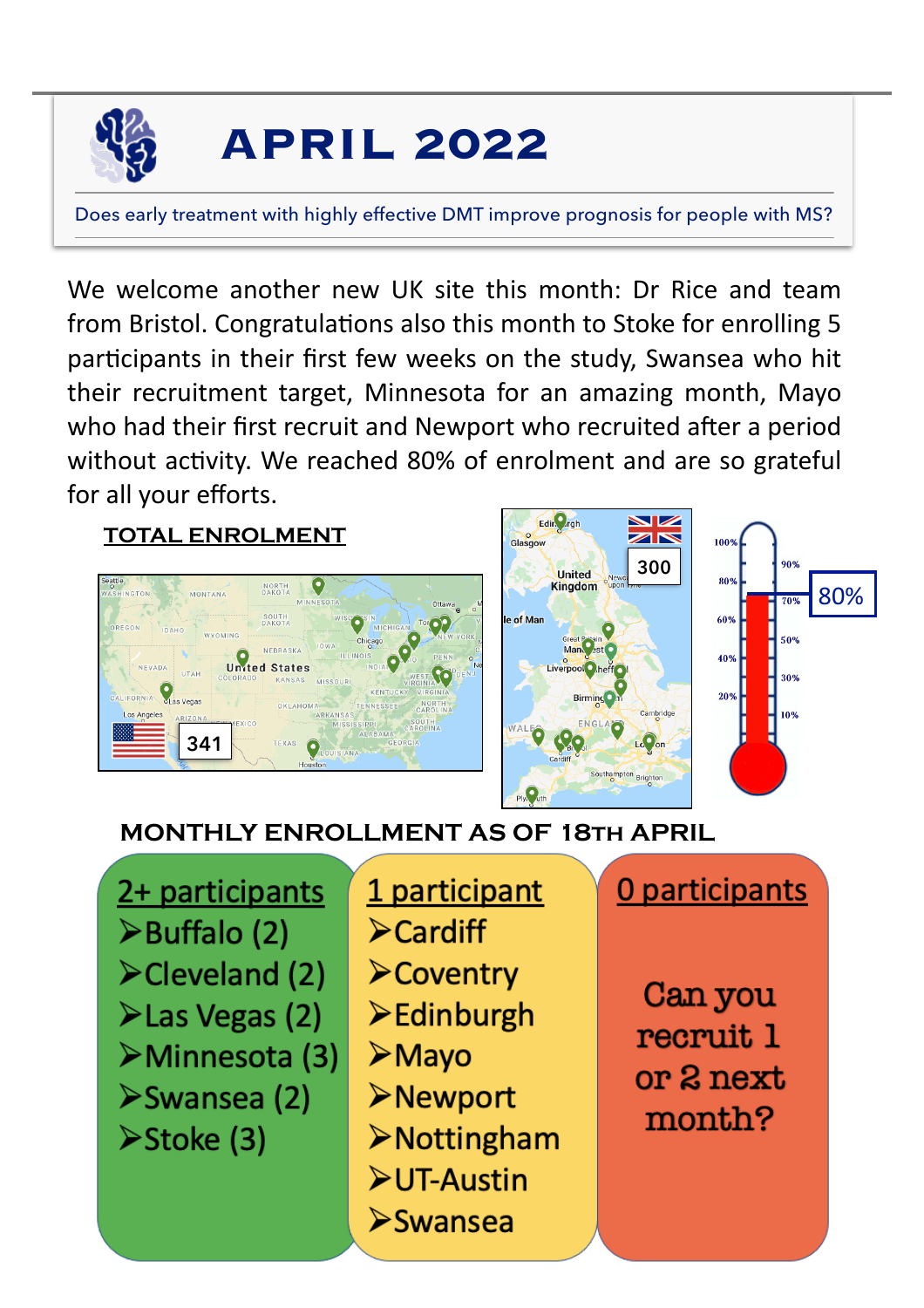

# **APRIL 2022**

Does early treatment with highly effective DMT improve prognosis for people with MS?

We welcome another new UK site this month: Dr Rice and team from Bristol. Congratulations also this month to Stoke for enrolling 5 participants in their first few weeks on the study, Swansea who hit their recruitment target, Minnesota for an amazing month, Mayo who had their first recruit and Newport who recruited after a period without activity. We reached 80% of enrolment and are so grateful for all your efforts.

#### **TOTAL ENROLMENT**





## **MONTHLY ENROLLMENT AS OF 18th APRIL**

2+ participants ≻Buffalo (2)  $\blacktriangleright$  Cleveland (2)  $\blacktriangleright$  Las Vegas (2) ≻Minnesota (3) ≻Swansea (2) >Stoke (3)

1 participant  $\blacktriangleright$  Cardiff **≻Coventry**  $\blacktriangleright$  Edinburgh  $\triangleright$  Mayo **>Newport**  $\triangleright$  Nottingham  $\blacktriangleright$ UT-Austin  $\triangleright$ Swansea

0 participants

80%

Can you recruit 1 or 2 next month?